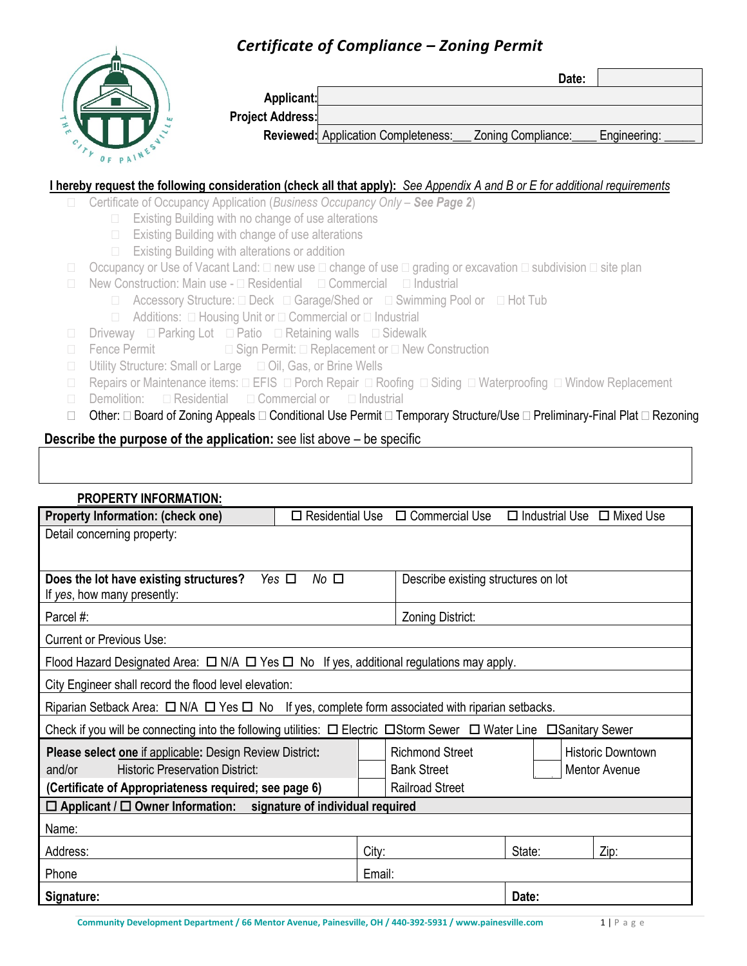# *Certificate of Compliance – Zoning Permit*



|                         |                                     | Date:              |              |
|-------------------------|-------------------------------------|--------------------|--------------|
| Applicant:              |                                     |                    |              |
| <b>Project Address:</b> |                                     |                    |              |
|                         | Reviewed: Application Completeness: | Zoning Compliance: | Engineering: |

### **I hereby request the following consideration (check all that apply):** *See Appendix A and B or E for additional requirements*

- Certificate of Occupancy Application (*Business Occupancy Only – See Page 2*)
	- $\Box$  Existing Building with no change of use alterations
	- $\Box$  Existing Building with change of use alterations
	- $\Box$  Existing Building with alterations or addition
- $\Box$  Occupancy or Use of Vacant Land:  $\Box$  new use  $\Box$  change of use  $\Box$  grading or excavation  $\Box$  subdivision  $\Box$  site plan
- New Construction: Main use  $\Box$  Residential  $\Box$  Commercial  $\Box$  Industrial
	- □ Accessory Structure: □ Deck □ Garage/Shed or □ Swimming Pool or □ Hot Tub
	- $\Box$  Additions:  $\Box$  Housing Unit or  $\Box$  Commercial or  $\Box$  Industrial
- D Driveway  $\Box$  Parking Lot  $\Box$  Patio  $\Box$  Retaining walls  $\Box$  Sidewalk
- $\Box$  Fence Permit  $\Box$  Sign Permit:  $\Box$  Replacement or  $\Box$  New Construction
- □ Utility Structure: Small or Large □ Oil, Gas, or Brine Wells
- Repairs or Maintenance items:  $\Box$  EFIS  $\Box$  Porch Repair  $\Box$  Roofing  $\Box$  Siding  $\Box$  Waterproofing  $\Box$  Window Replacement
- $\Box$  Demolition:  $\Box$  Residential  $\Box$  Commercial or  $\Box$  Industrial
- □ Other: □ Board of Zoning Appeals □ Conditional Use Permit □ Temporary Structure/Use □ Preliminary-Final Plat □ Rezoning

## **Describe the purpose of the application:** see list above – be specific

| <b>PROPERTY INFORMATION:</b>                                                                                                             |                        |                                            |                                        |                          |  |  |  |
|------------------------------------------------------------------------------------------------------------------------------------------|------------------------|--------------------------------------------|----------------------------------------|--------------------------|--|--|--|
| Property Information: (check one)                                                                                                        | $\Box$ Residential Use | □ Commercial Use                           | $\Box$ Industrial Use $\Box$ Mixed Use |                          |  |  |  |
| Detail concerning property:                                                                                                              |                        |                                            |                                        |                          |  |  |  |
|                                                                                                                                          |                        |                                            |                                        |                          |  |  |  |
| Does the lot have existing structures?<br>$No$ $\square$<br>Describe existing structures on lot<br>Yes $\Box$                            |                        |                                            |                                        |                          |  |  |  |
| If yes, how many presently:                                                                                                              |                        |                                            |                                        |                          |  |  |  |
| Parcel #:                                                                                                                                |                        | Zoning District:                           |                                        |                          |  |  |  |
| <b>Current or Previous Use:</b>                                                                                                          |                        |                                            |                                        |                          |  |  |  |
| Flood Hazard Designated Area: $\Box$ N/A $\Box$ Yes $\Box$ No If yes, additional regulations may apply.                                  |                        |                                            |                                        |                          |  |  |  |
| City Engineer shall record the flood level elevation:                                                                                    |                        |                                            |                                        |                          |  |  |  |
| Riparian Setback Area: $\Box$ N/A $\Box$ Yes $\Box$ No If yes, complete form associated with riparian setbacks.                          |                        |                                            |                                        |                          |  |  |  |
| Check if you will be connecting into the following utilities: $\Box$ Electric $\Box$ Storm Sewer $\Box$ Water Line $\Box$ Sanitary Sewer |                        |                                            |                                        |                          |  |  |  |
| Please select one if applicable: Design Review District:                                                                                 |                        | <b>Richmond Street</b>                     |                                        | <b>Historic Downtown</b> |  |  |  |
| <b>Historic Preservation District:</b><br>and/or                                                                                         |                        | <b>Bank Street</b><br><b>Mentor Avenue</b> |                                        |                          |  |  |  |
| (Certificate of Appropriateness required; see page 6)                                                                                    |                        | <b>Railroad Street</b>                     |                                        |                          |  |  |  |
| $\Box$ Applicant / $\Box$ Owner Information: signature of individual required                                                            |                        |                                            |                                        |                          |  |  |  |
| Name:                                                                                                                                    |                        |                                            |                                        |                          |  |  |  |
| Address:                                                                                                                                 |                        | City:                                      | State:                                 | Zip:                     |  |  |  |
| Phone                                                                                                                                    | Email:                 |                                            |                                        |                          |  |  |  |
| Signature:                                                                                                                               |                        |                                            | Date:                                  |                          |  |  |  |
| Community Development Department / 66 Mentor Avenue, Painesville, OH / 440-392-5931 / www.painesville.com<br>1   P a g e                 |                        |                                            |                                        |                          |  |  |  |